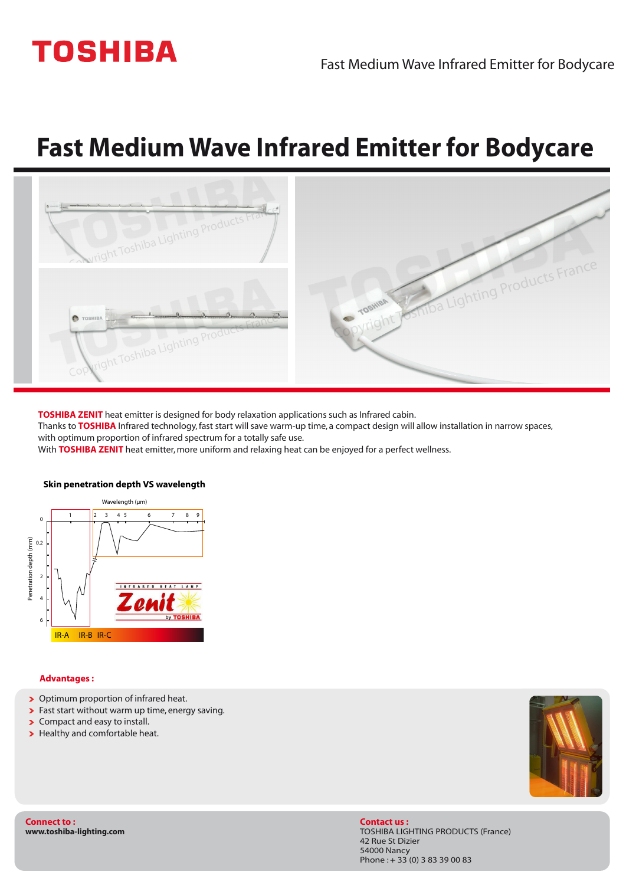# **TOSHIBA**

## **Fast Medium Wave Infrared Emitter for Bodycare**



**TOSHIBA ZENIT** heat emitter is designed for body relaxation applications such as Infrared cabin.

Thanks to **TOSHIBA** Infrared technology,fast start will save warm-up time, a compact design will allow installation in narrow spaces, with optimum proportion of infrared spectrum for a totally safe use.

With **TOSHIBA ZENIT** heat emitter, more uniform and relaxing heat can be enjoyed for a perfect wellness.



#### **Skin penetration depth VS wavelength**

#### **Advantages :**

- > Optimum proportion of infrared heat.
- > Fast start without warm up time, energy saving.
- > Compact and easy to install.
- > Healthy and comfortable heat.



**Connect to : www.toshiba-lighting.com** **Contact us :** TOSHIBA LIGHTING PRODUCTS (France) 42 Rue St Dizier 54000 Nancy Phone :+ 33 (0) 3 83 39 00 83